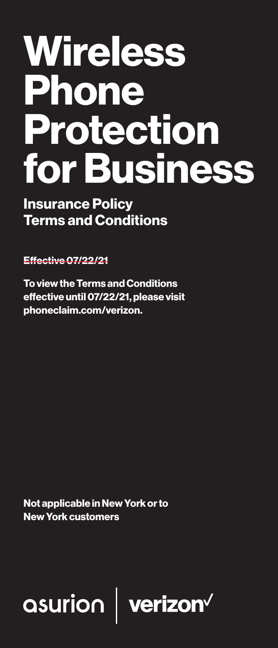# **Wireless** Phone Protection for Business

Insurance Policy Terms and Conditions

Effective 07/22/21

To view the Terms and Conditions effective until 07/22/21, please visit phoneclaim.com/verizon.

Not applicable in New York or to New York customers

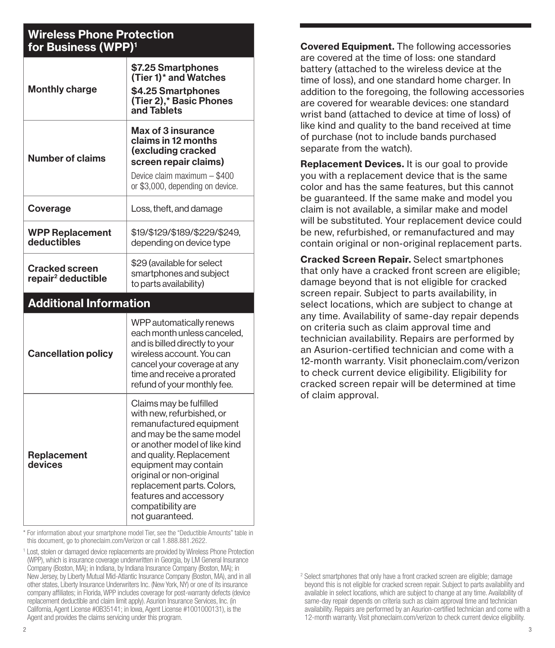#### Wireless Phone Protection for Business (WPP)1

| <b>Monthly charge</b>                            | \$7.25 Smartphones<br>(Tier 1)* and Watches<br>\$4.25 Smartphones<br>(Tier 2),* Basic Phones<br>and Tablets                                                                                                                                                                                                                     |  |
|--------------------------------------------------|---------------------------------------------------------------------------------------------------------------------------------------------------------------------------------------------------------------------------------------------------------------------------------------------------------------------------------|--|
| <b>Number of claims</b>                          | Max of 3 insurance<br>claims in 12 months<br>(excluding cracked<br>screen repair claims)<br>Device claim maximum - \$400<br>or \$3,000, depending on device.                                                                                                                                                                    |  |
| Coverage                                         | Loss, theft, and damage                                                                                                                                                                                                                                                                                                         |  |
| <b>WPP Replacement</b><br>deductibles            | \$19/\$129/\$189/\$229/\$249.<br>depending on device type                                                                                                                                                                                                                                                                       |  |
| Cracked screen<br>repair <sup>2</sup> deductible | \$29 (available for select<br>smartphones and subject<br>to parts availability)                                                                                                                                                                                                                                                 |  |
| <b>Additional Information</b>                    |                                                                                                                                                                                                                                                                                                                                 |  |
| <b>Cancellation policy</b>                       | WPP automatically renews<br>each month unless canceled,<br>and is billed directly to your<br>wireless account. You can<br>cancel your coverage at any<br>time and receive a prorated<br>refund of your monthly fee.                                                                                                             |  |
| Replacement<br>devices                           | Claims may be fulfilled<br>with new, refurbished, or<br>remanufactured equipment<br>and may be the same model<br>or another model of like kind<br>and quality. Replacement<br>equipment may contain<br>original or non-original<br>replacement parts. Colors,<br>features and accessory<br>compatibility are<br>not guaranteed. |  |

\* For information about your smartphone model Tier, see the "Deductible Amounts" table in this document, go to phoneclaim.com/Verizon or call 1.888.881.2622.

Covered Equipment. The following accessories are covered at the time of loss: one standard battery (attached to the wireless device at the time of loss), and one standard home charger. In addition to the foregoing, the following accessories are covered for wearable devices: one standard wrist band (attached to device at time of loss) of like kind and quality to the band received at time of purchase (not to include bands purchased separate from the watch).

Replacement Devices. It is our goal to provide you with a replacement device that is the same color and has the same features, but this cannot be guaranteed. If the same make and model you claim is not available, a similar make and model will be substituted. Your replacement device could be new, refurbished, or remanufactured and may contain original or non-original replacement parts.

Cracked Screen Repair. Select smartphones that only have a cracked front screen are eligible; damage beyond that is not eligible for cracked screen repair. Subject to parts availability, in select locations, which are subject to change at any time. Availability of same-day repair depends on criteria such as claim approval time and technician availability. Repairs are performed by an Asurion-certified technician and come with a 12-month warranty. Visit phoneclaim.com/verizon to check current device eligibility. Eligibility for cracked screen repair will be determined at time of claim approval.

<sup>&</sup>lt;sup>1</sup> Lost, stolen or damaged device replacements are provided by Wireless Phone Protection (WPP), which is insurance coverage underwritten in Georgia, by LM General Insurance Company (Boston, MA); in Indiana, by Indiana Insurance Company (Boston, MA); in New Jersey, by Liberty Mutual Mid-Atlantic Insurance Company (Boston, MA), and in all other states, Liberty Insurance Underwriters Inc. (New York, NY) or one of its insurance company affiliates; in Florida, WPP includes coverage for post-warranty defects (device replacement deductible and claim limit apply). Asurion Insurance Services, Inc. (in California, Agent License #0B35141; in Iowa, Agent License #1001000131), is the Agent and provides the claims servicing under this program.

<sup>&</sup>lt;sup>2</sup> Select smartphones that only have a front cracked screen are eligible; damage beyond this is not eligible for cracked screen repair. Subject to parts availability and available in select locations, which are subject to change at any time. Availability of same-day repair depends on criteria such as claim approval time and technician availability. Repairs are performed by an Asurion-certified technician and come with a 12-month warranty. Visit phoneclaim.com/verizon to check current device eligibility.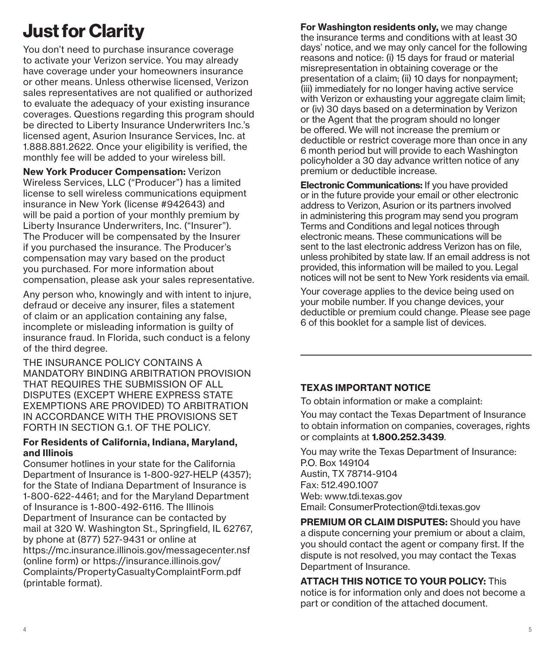# Just for Clarity

You don't need to purchase insurance coverage to activate your Verizon service. You may already have coverage under your homeowners insurance or other means. Unless otherwise licensed, Verizon sales representatives are not qualified or authorized to evaluate the adequacy of your existing insurance coverages. Questions regarding this program should be directed to Liberty Insurance Underwriters Inc.'s licensed agent, Asurion Insurance Services, Inc. at 1.888.881.2622. Once your eligibility is verified, the monthly fee will be added to your wireless bill.

New York Producer Compensation: Verizon Wireless Services, LLC ("Producer") has a limited license to sell wireless communications equipment insurance in New York (license #942643) and will be paid a portion of your monthly premium by Liberty Insurance Underwriters, Inc. ("Insurer"). The Producer will be compensated by the Insurer if you purchased the insurance. The Producer's compensation may vary based on the product you purchased. For more information about compensation, please ask your sales representative.

Any person who, knowingly and with intent to injure, defraud or deceive any insurer, files a statement of claim or an application containing any false, incomplete or misleading information is guilty of insurance fraud. In Florida, such conduct is a felony of the third degree.

THE INSURANCE POLICY CONTAINS A MANDATORY BINDING ARBITRATION PROVISION THAT REQUIRES THE SUBMISSION OF ALL DISPUTES (EXCEPT WHERE EXPRESS STATE EXEMPTIONS ARE PROVIDED) TO ARBITRATION IN ACCORDANCE WITH THE PROVISIONS SET FORTH IN SECTION G.1. OF THE POLICY.

#### For Residents of California, Indiana, Maryland, and Illinois

Consumer hotlines in your state for the California Department of Insurance is 1-800-927-HELP (4357); for the State of Indiana Department of Insurance is 1-800-622-4461; and for the Maryland Department of Insurance is 1-800-492-6116. The Illinois Department of Insurance can be contacted by mail at 320 W. Washington St., Springfield, IL 62767, by phone at (877) 527-9431 or online at https://mc.insurance.illinois.gov/messagecenter.nsf (online form) or https://insurance.illinois.gov/ Complaints/PropertyCasualtyComplaintForm.pdf (printable format).

For Washington residents only, we may change the insurance terms and conditions with at least 30 days' notice, and we may only cancel for the following reasons and notice: (i) 15 days for fraud or material misrepresentation in obtaining coverage or the presentation of a claim; (ii) 10 days for nonpayment; (iii) immediately for no longer having active service with Verizon or exhausting your aggregate claim limit; or (iv) 30 days based on a determination by Verizon or the Agent that the program should no longer be offered. We will not increase the premium or deductible or restrict coverage more than once in any 6 month period but will provide to each Washington policyholder a 30 day advance written notice of any premium or deductible increase.

Electronic Communications: If you have provided or in the future provide your email or other electronic address to Verizon, Asurion or its partners involved in administering this program may send you program Terms and Conditions and legal notices through electronic means. These communications will be sent to the last electronic address Verizon has on file, unless prohibited by state law. If an email address is not provided, this information will be mailed to you. Legal notices will not be sent to New York residents via email.

Your coverage applies to the device being used on your mobile number. If you change devices, your deductible or premium could change. Please see page 6 of this booklet for a sample list of devices.

#### TEXAS IMPORTANT NOTICE

To obtain information or make a complaint:

You may contact the Texas Department of Insurance to obtain information on companies, coverages, rights or complaints at 1.800.252.3439.

You may write the Texas Department of Insurance: P.O. Box 149104 Austin, TX 78714-9104 Fax: 512.490.1007 Web: www.tdi.texas.gov Email: ConsumerProtection@tdi.texas.gov

**PREMIUM OR CLAIM DISPUTES:** Should you have a dispute concerning your premium or about a claim, you should contact the agent or company first. If the dispute is not resolved, you may contact the Texas Department of Insurance.

ATTACH THIS NOTICE TO YOUR POLICY: This notice is for information only and does not become a part or condition of the attached document.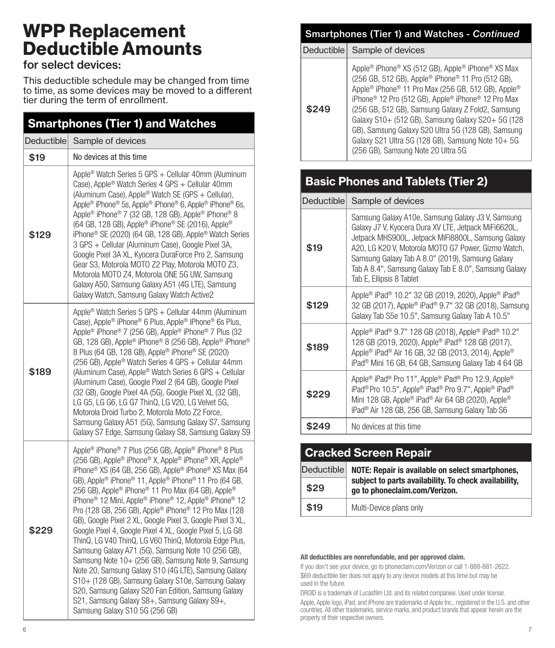# WPP Replacement Deductible Amounts

#### for select devices:

This deductible schedule may be changed from time to time, as some devices may be moved to a different tier during the term of enrollment.

| <b>Smartphones (Tier 1) and Watches</b> |                                                                                                                                                                                                                                                                                                                                                                                                                                                                                                                                                                                                                                                                                                                                                                                                                                                                                                                                                                                                                                        |  |
|-----------------------------------------|----------------------------------------------------------------------------------------------------------------------------------------------------------------------------------------------------------------------------------------------------------------------------------------------------------------------------------------------------------------------------------------------------------------------------------------------------------------------------------------------------------------------------------------------------------------------------------------------------------------------------------------------------------------------------------------------------------------------------------------------------------------------------------------------------------------------------------------------------------------------------------------------------------------------------------------------------------------------------------------------------------------------------------------|--|
| Deductible                              | Sample of devices                                                                                                                                                                                                                                                                                                                                                                                                                                                                                                                                                                                                                                                                                                                                                                                                                                                                                                                                                                                                                      |  |
| \$19                                    | No devices at this time                                                                                                                                                                                                                                                                                                                                                                                                                                                                                                                                                                                                                                                                                                                                                                                                                                                                                                                                                                                                                |  |
| \$129                                   | Apple <sup>®</sup> Watch Series 5 GPS + Cellular 40mm (Aluminum<br>Case), Apple® Watch Series 4 GPS + Cellular 40mm<br>(Aluminum Case), Apple® Watch SE (GPS + Cellular),<br>Apple® iPhone® 5s, Apple® iPhone® 6, Apple® iPhone® 6s,<br>Apple <sup>®</sup> iPhone <sup>®</sup> 7 (32 GB, 128 GB), Apple <sup>®</sup> iPhone <sup>®</sup> 8<br>(64 GB, 128 GB), Apple <sup>®</sup> iPhone® SE (2016), Apple®<br>iPhone <sup>®</sup> SE (2020) (64 GB, 128 GB), Apple® Watch Series<br>3 GPS + Cellular (Aluminum Case), Google Pixel 3A,<br>Google Pixel 3A XL, Kyocera DuraForce Pro 2, Samsung<br>Gear S3, Motorola MOTO Z2 Play, Motorola MOTO Z3,<br>Motorola MOTO Z4, Motorola ONE 5G UW, Samsung<br>Galaxy A50, Samsung Galaxy A51 (4G LTE), Samsung<br>Galaxy Watch, Samsung Galaxy Watch Active2                                                                                                                                                                                                                                |  |
| \$189                                   | Apple <sup>®</sup> Watch Series 5 GPS + Cellular 44mm (Aluminum<br>Case), Apple® iPhone® 6 Plus, Apple® iPhone® 6s Plus,<br>Apple <sup>®</sup> iPhone <sup>®</sup> 7 (256 GB), Apple® iPhone® 7 Plus (32<br>GB, 128 GB), Apple® iPhone® 8 (256 GB), Apple® iPhone®<br>8 Plus (64 GB, 128 GB), Apple® iPhone® SE (2020)<br>(256 GB), Apple® Watch Series 4 GPS + Cellular 44mm<br>(Aluminum Case), Apple® Watch Series 6 GPS + Cellular<br>(Aluminum Case), Google Pixel 2 (64 GB), Google Pixel<br>(32 GB), Google Pixel 4A (5G), Google Pixel XL (32 GB),<br>LG G5, LG G6, LG G7 ThinQ, LG V20, LG Velvet 5G,<br>Motorola Droid Turbo 2, Motorola Moto Z2 Force,<br>Samsung Galaxy A51 (5G), Samsung Galaxy S7, Samsung<br>Galaxy S7 Edge, Samsung Galaxy S8, Samsung Galaxy S9                                                                                                                                                                                                                                                       |  |
| \$229                                   | Apple <sup>®</sup> iPhone <sup>®</sup> 7 Plus (256 GB), Apple <sup>®</sup> iPhone <sup>®</sup> 8 Plus<br>(256 GB), Apple® iPhone® X, Apple® iPhone® XR, Apple®<br>iPhone <sup>®</sup> XS (64 GB, 256 GB), Apple® iPhone® XS Max (64<br>GB), Apple® iPhone® 11, Apple® iPhone® 11 Pro (64 GB,<br>256 GB), Apple® iPhone® 11 Pro Max (64 GB), Apple®<br>iPhone <sup>®</sup> 12 Mini, Apple® iPhone® 12, Apple® iPhone® 12<br>Pro (128 GB, 256 GB), Apple® iPhone® 12 Pro Max (128<br>GB), Google Pixel 2 XL, Google Pixel 3, Google Pixel 3 XL,<br>Google Pixel 4, Google Pixel 4 XL, Google Pixel 5, LG G8<br>ThinQ, LG V40 ThinQ, LG V60 ThinQ, Motorola Edge Plus,<br>Samsung Galaxy A71 (5G), Samsung Note 10 (256 GB),<br>Samsung Note 10+ (256 GB), Samsung Note 9, Samsung<br>Note 20, Samsung Galaxy S10 (4G LTE), Samsung Galaxy<br>S10+ (128 GB), Samsung Galaxy S10e, Samsung Galaxy<br>S20, Samsung Galaxy S20 Fan Edition, Samsung Galaxy<br>S21, Samsung Galaxy S8+, Samsung Galaxy S9+,<br>Samsung Galaxy S10 5G (256 GB) |  |

# Smartphones (Tier 1) and Watches - *Continued*

Deductible Sample of devices

| \$249 | Apple® iPhone® XS (512 GB), Apple® iPhone® XS Max<br>(256 GB, 512 GB), Apple® iPhone® 11 Pro (512 GB),<br>Apple <sup>®</sup> iPhone <sup>®</sup> 11 Pro Max (256 GB, 512 GB), Apple <sup>®</sup><br>iPhone <sup>®</sup> 12 Pro (512 GB), Apple® iPhone® 12 Pro Max<br>(256 GB, 512 GB), Samsung Galaxy Z Fold2, Samsung<br>Galaxy S10+ (512 GB), Samsung Galaxy S20+ 5G (128<br>GB), Samsung Galaxy S20 Ultra 5G (128 GB), Samsung<br>Galaxy S21 Ultra 5G (128 GB), Samsung Note 10+ 5G<br>(256 GB), Samsung Note 20 Ultra 5G |
|-------|-------------------------------------------------------------------------------------------------------------------------------------------------------------------------------------------------------------------------------------------------------------------------------------------------------------------------------------------------------------------------------------------------------------------------------------------------------------------------------------------------------------------------------|
|-------|-------------------------------------------------------------------------------------------------------------------------------------------------------------------------------------------------------------------------------------------------------------------------------------------------------------------------------------------------------------------------------------------------------------------------------------------------------------------------------------------------------------------------------|

# Basic Phones and Tablets (Tier 2)

|       | Deductible Sample of devices                                                                                                                                                                                                                                                                                                                                    |
|-------|-----------------------------------------------------------------------------------------------------------------------------------------------------------------------------------------------------------------------------------------------------------------------------------------------------------------------------------------------------------------|
| \$19  | Samsung Galaxy A10e, Samsung Galaxy J3 V, Samsung<br>Galaxy J7 V, Kyocera Dura XV LTE, Jetpack MiFi6620L,<br>Jetpack MHS900L, Jetpack MiFi8800L, Samsung Galaxy<br>A20, LG K20 V, Motorola MOTO G7 Power, Gizmo Watch,<br>Samsung Galaxy Tab A 8.0" (2019), Samsung Galaxy<br>Tab A 8.4", Samsung Galaxy Tab E 8.0", Samsung Galaxy<br>Tab E, Ellipsis 8 Tablet |
| \$129 | Apple® iPad® 10.2" 32 GB (2019, 2020), Apple® iPad®<br>32 GB (2017), Apple® iPad® 9.7" 32 GB (2018), Samsung<br>Galaxy Tab S5e 10.5", Samsung Galaxy Tab A 10.5"                                                                                                                                                                                                |
| \$189 | Apple® iPad® 9.7" 128 GB (2018), Apple® iPad® 10.2"<br>128 GB (2019, 2020), Apple® iPad® 128 GB (2017),<br>Apple <sup>®</sup> iPad <sup>®</sup> Air 16 GB, 32 GB (2013, 2014), Apple®<br>iPad <sup>®</sup> Mini 16 GB, 64 GB, Samsung Galaxy Tab 4 64 GB                                                                                                        |
| \$229 | Apple® iPad® Pro 11", Apple® iPad® Pro 12.9, Apple®<br>iPad <sup>®</sup> Pro 10.5", Apple® iPad® Pro 9.7", Apple® iPad®<br>Mini 128 GB, Apple® iPad® Air 64 GB (2020), Apple®<br>iPad <sup>®</sup> Air 128 GB, 256 GB, Samsung Galaxy Tab S6                                                                                                                    |
| \$249 | No devices at this time                                                                                                                                                                                                                                                                                                                                         |

| <b>Cracked Screen Repair</b> |                                                                                        |
|------------------------------|----------------------------------------------------------------------------------------|
| Deductible                   | NOTE: Repair is available on select smartphones,                                       |
| \$29                         | subject to parts availability. To check availability,<br>go to phoneclaim.com/Verizon. |
| \$19                         | Multi-Device plans only                                                                |

#### All deductibles are nonrefundable, and per approved claim.

If you don't see your device, go to phoneclaim.com/Verizon or call 1-888-881-2622. \$69 deductible tier does not apply to any device models at this time but may be used in the future.

DROID is a trademark of Lucasfilm Ltd. and its related companies. Used under license. Apple, Apple logo, iPad, and iPhone are trademarks of Apple Inc., registered in the U.S. and other countries. All other trademarks, service marks, and product brands that appear herein are the property of their respective owners.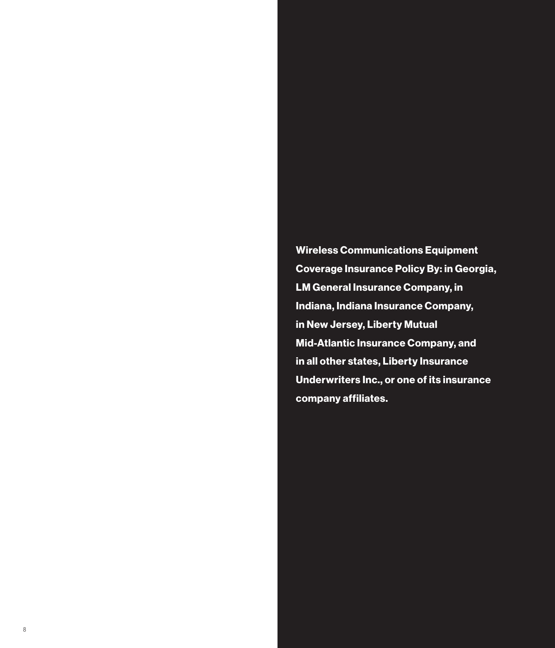Wireless Communications Equipment Coverage Insurance Policy By: in Georgia, LM General Insurance Company, in Indiana, Indiana Insurance Company, in New Jersey, Liberty Mutual Mid-Atlantic Insurance Company, and in all other states, Liberty Insurance Underwriters Inc., or one of its insurance company affiliates.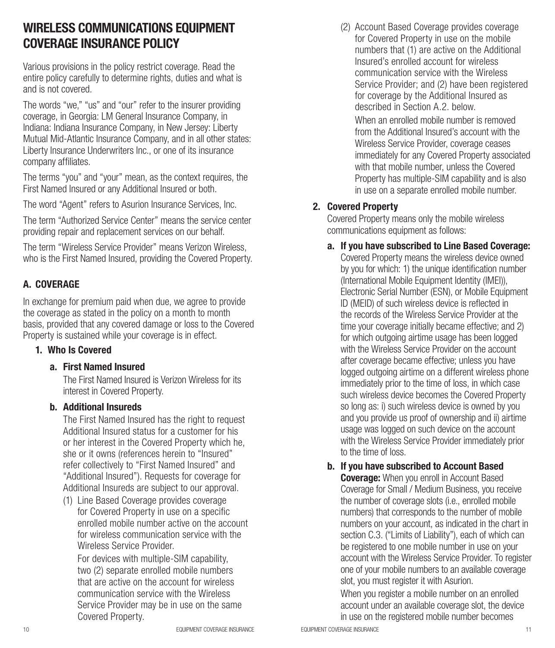# WIRELESS COMMUNICATIONS EQUIPMENT COVERAGE INSURANCE POLICY

Various provisions in the policy restrict coverage. Read the entire policy carefully to determine rights, duties and what is and is not covered.

The words "we," "us" and "our" refer to the insurer providing coverage, in Georgia: LM General Insurance Company, in Indiana: Indiana Insurance Company, in New Jersey: Liberty Mutual Mid-Atlantic Insurance Company, and in all other states: Liberty Insurance Underwriters Inc., or one of its insurance company affiliates.

The terms "you" and "your" mean, as the context requires, the First Named Insured or any Additional Insured or both.

The word "Agent" refers to Asurion Insurance Services, Inc.

The term "Authorized Service Center" means the service center providing repair and replacement services on our behalf.

The term "Wireless Service Provider" means Verizon Wireless, who is the First Named Insured, providing the Covered Property.

#### A. COVERAGE

In exchange for premium paid when due, we agree to provide the coverage as stated in the policy on a month to month basis, provided that any covered damage or loss to the Covered Property is sustained while your coverage is in effect.

#### 1. Who Is Covered

#### a. First Named Insured

The First Named Insured is Verizon Wireless for its interest in Covered Property.

#### b. Additional Insureds

The First Named Insured has the right to request Additional Insured status for a customer for his or her interest in the Covered Property which he, she or it owns (references herein to "Insured" refer collectively to "First Named Insured" and "Additional Insured"). Requests for coverage for Additional Insureds are subject to our approval.

(1) Line Based Coverage provides coverage for Covered Property in use on a specific enrolled mobile number active on the account for wireless communication service with the Wireless Service Provider.

For devices with multiple-SIM capability, two (2) separate enrolled mobile numbers that are active on the account for wireless communication service with the Wireless Service Provider may be in use on the same Covered Property.

(2) Account Based Coverage provides coverage for Covered Property in use on the mobile numbers that (1) are active on the Additional Insured's enrolled account for wireless communication service with the Wireless Service Provider; and (2) have been registered for coverage by the Additional Insured as described in Section A.2. below

When an enrolled mobile number is removed from the Additional Insured's account with the Wireless Service Provider, coverage ceases immediately for any Covered Property associated with that mobile number, unless the Covered Property has multiple-SIM capability and is also in use on a separate enrolled mobile number.

#### 2. Covered Property

Covered Property means only the mobile wireless communications equipment as follows:

a. If you have subscribed to Line Based Coverage:

Covered Property means the wireless device owned by you for which: 1) the unique identification number (International Mobile Equipment Identity (IMEI)), Electronic Serial Number (ESN), or Mobile Equipment ID (MEID) of such wireless device is reflected in the records of the Wireless Service Provider at the time your coverage initially became effective; and 2) for which outgoing airtime usage has been logged with the Wireless Service Provider on the account after coverage became effective; unless you have logged outgoing airtime on a different wireless phone immediately prior to the time of loss, in which case such wireless device becomes the Covered Property so long as: i) such wireless device is owned by you and you provide us proof of ownership and ii) airtime usage was logged on such device on the account with the Wireless Service Provider immediately prior to the time of loss.

b. If you have subscribed to Account Based

**Coverage:** When you enroll in Account Based Coverage for Small / Medium Business, you receive the number of coverage slots (i.e., enrolled mobile numbers) that corresponds to the number of mobile numbers on your account, as indicated in the chart in section C.3. ("Limits of Liability"), each of which can be registered to one mobile number in use on your account with the Wireless Service Provider. To register one of your mobile numbers to an available coverage slot, you must register it with Asurion.

When you register a mobile number on an enrolled account under an available coverage slot, the device in use on the registered mobile number becomes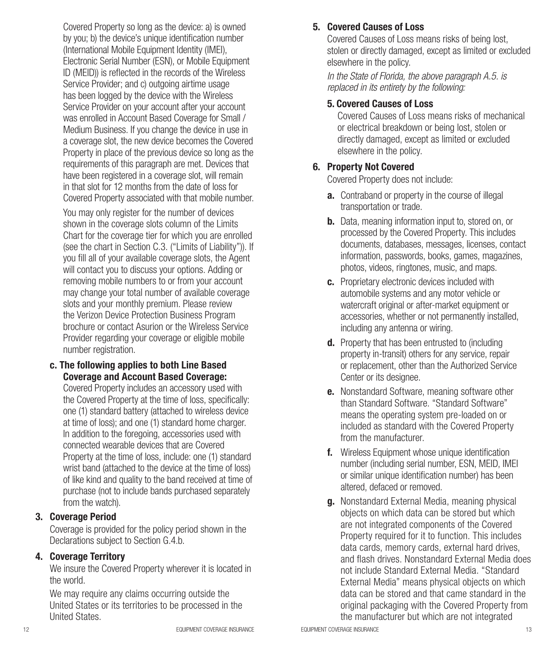Covered Property so long as the device: a) is owned by you; b) the device's unique identification number (International Mobile Equipment Identity (IMEI), Electronic Serial Number (ESN), or Mobile Equipment ID (MEID)) is reflected in the records of the Wireless Service Provider; and c) outgoing airtime usage has been logged by the device with the Wireless Service Provider on your account after your account was enrolled in Account Based Coverage for Small / Medium Business. If you change the device in use in a coverage slot, the new device becomes the Covered Property in place of the previous device so long as the requirements of this paragraph are met. Devices that have been registered in a coverage slot, will remain in that slot for 12 months from the date of loss for Covered Property associated with that mobile number.

You may only register for the number of devices shown in the coverage slots column of the Limits Chart for the coverage tier for which you are enrolled (see the chart in Section C.3. ("Limits of Liability")). If you fill all of your available coverage slots, the Agent will contact you to discuss your options. Adding or removing mobile numbers to or from your account may change your total number of available coverage slots and your monthly premium. Please review the Verizon Device Protection Business Program brochure or contact Asurion or the Wireless Service Provider regarding your coverage or eligible mobile number registration.

c. The following applies to both Line Based Coverage and Account Based Coverage:

Covered Property includes an accessory used with the Covered Property at the time of loss, specifically: one (1) standard battery (attached to wireless device at time of loss); and one (1) standard home charger. In addition to the foregoing, accessories used with connected wearable devices that are Covered Property at the time of loss, include: one (1) standard wrist band (attached to the device at the time of loss) of like kind and quality to the band received at time of purchase (not to include bands purchased separately from the watch).

#### 3. Coverage Period

Coverage is provided for the policy period shown in the Declarations subject to Section G.4.b.

#### 4. Coverage Territory

We insure the Covered Property wherever it is located in the world.

We may require any claims occurring outside the United States or its territories to be processed in the United States.

# 5. Covered Causes of Loss

Covered Causes of Loss means risks of being lost, stolen or directly damaged, except as limited or excluded elsewhere in the policy.

*In the State of Florida, the above paragraph A.5. is replaced in its entirety by the following:*

# 5. Covered Causes of Loss

Covered Causes of Loss means risks of mechanical or electrical breakdown or being lost, stolen or directly damaged, except as limited or excluded elsewhere in the policy.

# 6. Property Not Covered

Covered Property does not include:

- **a.** Contraband or property in the course of illegal transportation or trade.
- **b.** Data, meaning information input to, stored on, or processed by the Covered Property. This includes documents, databases, messages, licenses, contact information, passwords, books, games, magazines, photos, videos, ringtones, music, and maps.
- c. Proprietary electronic devices included with automobile systems and any motor vehicle or watercraft original or after-market equipment or accessories, whether or not permanently installed, including any antenna or wiring.
- d. Property that has been entrusted to (including property in-transit) others for any service, repair or replacement, other than the Authorized Service Center or its designee.
- **e.** Nonstandard Software, meaning software other than Standard Software. "Standard Software" means the operating system pre-loaded on or included as standard with the Covered Property from the manufacturer.
- f. Wireless Equipment whose unique identification number (including serial number, ESN, MEID, IMEI or similar unique identification number) has been altered, defaced or removed.
- **g.** Nonstandard External Media, meaning physical objects on which data can be stored but which are not integrated components of the Covered Property required for it to function. This includes data cards, memory cards, external hard drives, and flash drives. Nonstandard External Media does not include Standard External Media. "Standard External Media" means physical objects on which data can be stored and that came standard in the original packaging with the Covered Property from the manufacturer but which are not integrated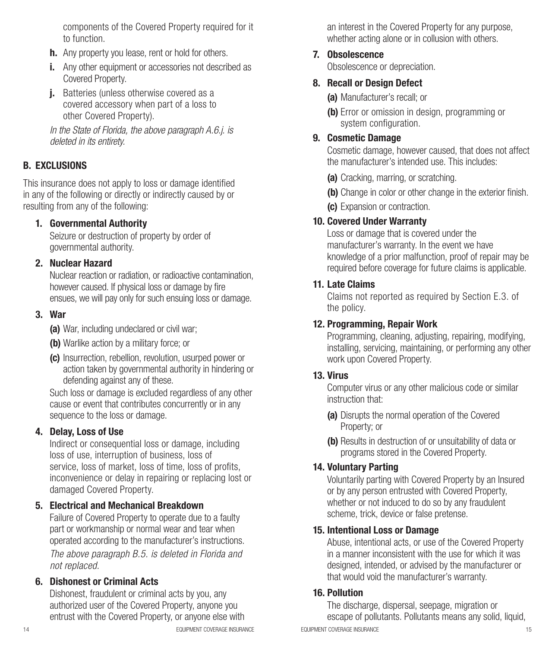components of the Covered Property required for it to function.

- **h.** Any property you lease, rent or hold for others.
- i. Any other equipment or accessories not described as Covered Property.
- **j.** Batteries (unless otherwise covered as a covered accessory when part of a loss to other Covered Property).

*In the State of Florida, the above paragraph A.6.j. is deleted in its entirety.*

#### B. EXCLUSIONS

This insurance does not apply to loss or damage identified in any of the following or directly or indirectly caused by or resulting from any of the following:

#### 1. Governmental Authority

Seizure or destruction of property by order of governmental authority.

#### 2. Nuclear Hazard

Nuclear reaction or radiation, or radioactive contamination, however caused. If physical loss or damage by fire ensues, we will pay only for such ensuing loss or damage.

#### 3. War

(a) War, including undeclared or civil war;

- (b) Warlike action by a military force; or
- (c) Insurrection, rebellion, revolution, usurped power or action taken by governmental authority in hindering or defending against any of these.

Such loss or damage is excluded regardless of any other cause or event that contributes concurrently or in any sequence to the loss or damage.

#### 4. Delay, Loss of Use

Indirect or consequential loss or damage, including loss of use, interruption of business, loss of service, loss of market, loss of time, loss of profits, inconvenience or delay in repairing or replacing lost or damaged Covered Property.

#### 5. Electrical and Mechanical Breakdown

Failure of Covered Property to operate due to a faulty part or workmanship or normal wear and tear when operated according to the manufacturer's instructions. *The above paragraph B.5. is deleted in Florida and* 

*not replaced.*

#### 6. Dishonest or Criminal Acts

Dishonest, fraudulent or criminal acts by you, any authorized user of the Covered Property, anyone you entrust with the Covered Property, or anyone else with

an interest in the Covered Property for any purpose, whether acting alone or in collusion with others.

#### 7. Obsolescence

Obsolescence or depreciation.

#### 8. Recall or Design Defect

(a) Manufacturer's recall; or

(b) Error or omission in design, programming or system configuration.

#### 9. Cosmetic Damage

Cosmetic damage, however caused, that does not affect the manufacturer's intended use. This includes:

- (a) Cracking, marring, or scratching.
- (b) Change in color or other change in the exterior finish.
- (c) Expansion or contraction.

#### 10. Covered Under Warranty

Loss or damage that is covered under the manufacturer's warranty. In the event we have knowledge of a prior malfunction, proof of repair may be required before coverage for future claims is applicable.

#### 11. Late Claims

Claims not reported as required by Section E.3. of the policy.

#### 12. Programming, Repair Work

Programming, cleaning, adjusting, repairing, modifying, installing, servicing, maintaining, or performing any other work upon Covered Property.

#### 13. Virus

Computer virus or any other malicious code or similar instruction that:

- (a) Disrupts the normal operation of the Covered Property; or
- (b) Results in destruction of or unsuitability of data or programs stored in the Covered Property.

#### 14. Voluntary Parting

Voluntarily parting with Covered Property by an Insured or by any person entrusted with Covered Property, whether or not induced to do so by any fraudulent scheme, trick, device or false pretense.

#### 15. Intentional Loss or Damage

Abuse, intentional acts, or use of the Covered Property in a manner inconsistent with the use for which it was designed, intended, or advised by the manufacturer or that would void the manufacturer's warranty.

#### 16. Pollution

14 EQUIPMENT COVERAGE INSURANCE EQUIPMENT COVERAGE INSURANCE 15 The discharge, dispersal, seepage, migration or escape of pollutants. Pollutants means any solid, liquid,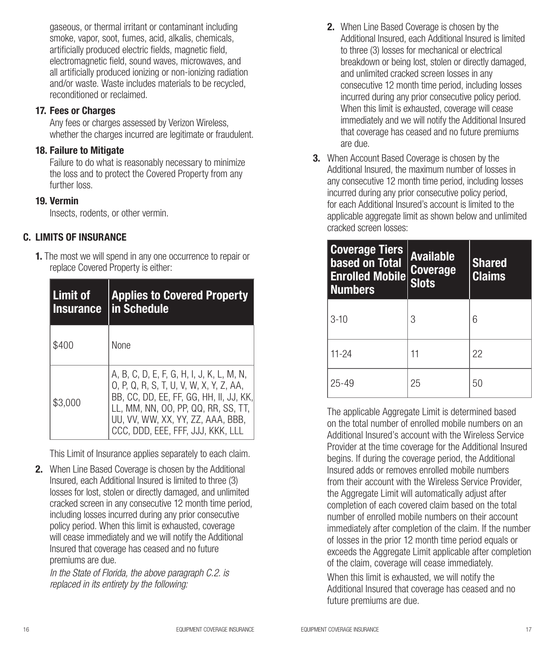gaseous, or thermal irritant or contaminant including smoke, vapor, soot, fumes, acid, alkalis, chemicals, artificially produced electric fields, magnetic field, electromagnetic field, sound waves, microwaves, and all artificially produced ionizing or non-ionizing radiation and/or waste. Waste includes materials to be recycled, reconditioned or reclaimed.

#### 17. Fees or Charges

Any fees or charges assessed by Verizon Wireless, whether the charges incurred are legitimate or fraudulent.

#### 18. Failure to Mitigate

Failure to do what is reasonably necessary to minimize the loss and to protect the Covered Property from any further loss.

#### 19. Vermin

Insects, rodents, or other vermin.

#### C. LIMITS OF INSURANCE

1. The most we will spend in any one occurrence to repair or replace Covered Property is either:

| Limit of<br><b>Insurance</b> | <b>Applies to Covered Property</b><br>in Schedule                                                                                                                                                                                                |
|------------------------------|--------------------------------------------------------------------------------------------------------------------------------------------------------------------------------------------------------------------------------------------------|
| \$400                        | <b>None</b>                                                                                                                                                                                                                                      |
| \$3.000                      | A, B, C, D, E, F, G, H, I, J, K, L, M, N,<br>0, P, Q, R, S, T, U, V, W, X, Y, Z, AA,<br>BB, CC, DD, EE, FF, GG, HH, II, JJ, KK,<br>LL, MM, NN, OO, PP, QQ, RR, SS, TT,<br>UU, VV, WW, XX, YY, ZZ, AAA, BBB,<br>CCC, DDD, EEE, FFF, JJJ, KKK, LLL |

This Limit of Insurance applies separately to each claim.

2. When Line Based Coverage is chosen by the Additional Insured, each Additional Insured is limited to three (3) losses for lost, stolen or directly damaged, and unlimited cracked screen in any consecutive 12 month time period, including losses incurred during any prior consecutive policy period. When this limit is exhausted, coverage will cease immediately and we will notify the Additional Insured that coverage has ceased and no future premiums are due.

*In the State of Florida, the above paragraph C.2. is replaced in its entirety by the following:* 

- 2. When Line Based Coverage is chosen by the Additional Insured, each Additional Insured is limited to three (3) losses for mechanical or electrical breakdown or being lost, stolen or directly damaged, and unlimited cracked screen losses in any consecutive 12 month time period, including losses incurred during any prior consecutive policy period. When this limit is exhausted, coverage will cease immediately and we will notify the Additional Insured that coverage has ceased and no future premiums are due.
- 3. When Account Based Coverage is chosen by the Additional Insured, the maximum number of losses in any consecutive 12 month time period, including losses incurred during any prior consecutive policy period, for each Additional Insured's account is limited to the applicable aggregate limit as shown below and unlimited cracked screen losses:

| <b>Coverage Tiers</b><br>based on Total<br><b>Enrolled Mobile</b><br><b>Numbers</b> | <b>Available</b><br><b>Coverage</b><br><b>Slots</b> | <b>Shared</b><br><b>Claims</b> |
|-------------------------------------------------------------------------------------|-----------------------------------------------------|--------------------------------|
| $3-10$                                                                              | 3                                                   | 6                              |
| $11 - 24$                                                                           | 11                                                  | 22                             |
| $25 - 49$                                                                           | 25                                                  | 50                             |

The applicable Aggregate Limit is determined based on the total number of enrolled mobile numbers on an Additional Insured's account with the Wireless Service Provider at the time coverage for the Additional Insured begins. If during the coverage period, the Additional Insured adds or removes enrolled mobile numbers from their account with the Wireless Service Provider, the Aggregate Limit will automatically adjust after completion of each covered claim based on the total number of enrolled mobile numbers on their account immediately after completion of the claim. If the number of losses in the prior 12 month time period equals or exceeds the Aggregate Limit applicable after completion of the claim, coverage will cease immediately.

When this limit is exhausted, we will notify the Additional Insured that coverage has ceased and no future premiums are due.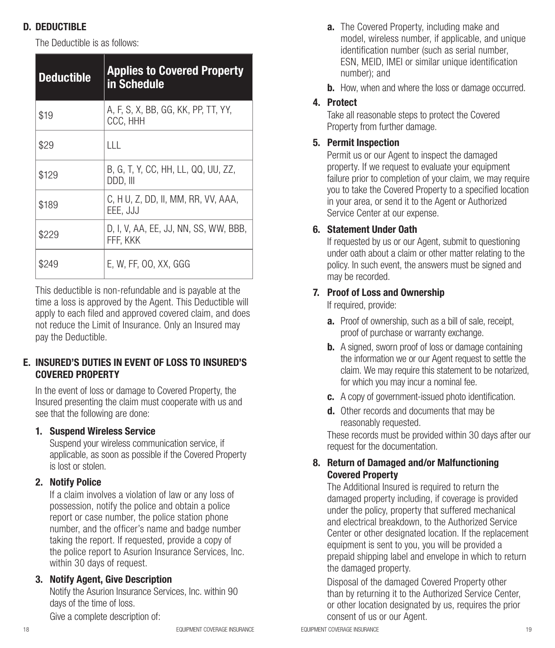# D. DEDUCTIBLE

The Deductible is as follows:

| <b>Deductible</b> | <b>Applies to Covered Property</b><br>in Schedule |
|-------------------|---------------------------------------------------|
| \$19              | A, F, S, X, BB, GG, KK, PP, TT, YY,<br>CCC, HHH   |
| \$29              | ШL                                                |
| \$129             | B, G, T, Y, CC, HH, LL, QQ, UU, ZZ,<br>DDD, III   |
| \$189             | C, H U, Z, DD, II, MM, RR, VV, AAA,<br>EEE, JJJ   |
| \$229             | D. I. V. AA. EE. JJ. NN. SS. WW. BBB.<br>FFF. KKK |
| \$249             | E, W, FF, OO, XX, GGG                             |

This deductible is non-refundable and is payable at the time a loss is approved by the Agent. This Deductible will apply to each filed and approved covered claim, and does not reduce the Limit of Insurance. Only an Insured may pay the Deductible.

#### E. INSURED'S DUTIES IN EVENT OF LOSS TO INSURED'S COVERED PROPERTY

In the event of loss or damage to Covered Property, the Insured presenting the claim must cooperate with us and see that the following are done:

#### 1. Suspend Wireless Service

Suspend your wireless communication service, if applicable, as soon as possible if the Covered Property is lost or stolen.

#### 2. Notify Police

If a claim involves a violation of law or any loss of possession, notify the police and obtain a police report or case number, the police station phone number, and the officer's name and badge number taking the report. If requested, provide a copy of the police report to Asurion Insurance Services, Inc. within 30 days of request.

#### 3. Notify Agent, Give Description

Notify the Asurion Insurance Services, Inc. within 90 days of the time of loss.

Give a complete description of:

- **a.** The Covered Property, including make and model, wireless number, if applicable, and unique identification number (such as serial number, ESN, MEID, IMEI or similar unique identification number); and
- **b.** How, when and where the loss or damage occurred.

# 4. Protect

Take all reasonable steps to protect the Covered Property from further damage.

# 5. Permit Inspection

Permit us or our Agent to inspect the damaged property. If we request to evaluate your equipment failure prior to completion of your claim, we may require you to take the Covered Property to a specified location in your area, or send it to the Agent or Authorized Service Center at our expense.

# 6. Statement Under Oath

If requested by us or our Agent, submit to questioning under oath about a claim or other matter relating to the policy. In such event, the answers must be signed and may be recorded.

#### 7. Proof of Loss and Ownership

If required, provide:

- a. Proof of ownership, such as a bill of sale, receipt, proof of purchase or warranty exchange.
- **b.** A signed, sworn proof of loss or damage containing the information we or our Agent request to settle the claim. We may require this statement to be notarized, for which you may incur a nominal fee.
- c. A copy of government-issued photo identification.
- d. Other records and documents that may be reasonably requested.

These records must be provided within 30 days after our request for the documentation.

#### 8. Return of Damaged and/or Malfunctioning Covered Property

The Additional Insured is required to return the damaged property including, if coverage is provided under the policy, property that suffered mechanical and electrical breakdown, to the Authorized Service Center or other designated location. If the replacement equipment is sent to you, you will be provided a prepaid shipping label and envelope in which to return the damaged property.

Disposal of the damaged Covered Property other than by returning it to the Authorized Service Center, or other location designated by us, requires the prior consent of us or our Agent.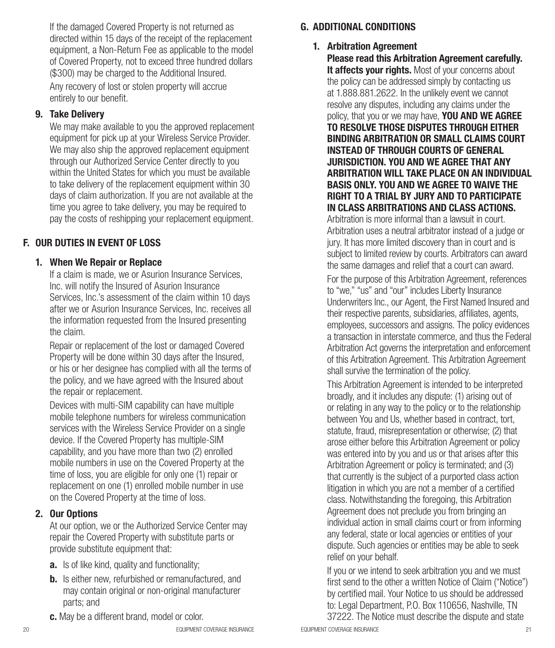If the damaged Covered Property is not returned as directed within 15 days of the receipt of the replacement equipment, a Non-Return Fee as applicable to the model of Covered Property, not to exceed three hundred dollars (\$300) may be charged to the Additional Insured.

Any recovery of lost or stolen property will accrue entirely to our benefit.

#### 9. Take Delivery

We may make available to you the approved replacement equipment for pick up at your Wireless Service Provider. We may also ship the approved replacement equipment through our Authorized Service Center directly to you within the United States for which you must be available to take delivery of the replacement equipment within 30 days of claim authorization. If you are not available at the time you agree to take delivery, you may be required to pay the costs of reshipping your replacement equipment.

#### F. OUR DUTIES IN EVENT OF LOSS

#### 1. When We Repair or Replace

If a claim is made, we or Asurion Insurance Services, Inc. will notify the Insured of Asurion Insurance Services, Inc.'s assessment of the claim within 10 days after we or Asurion Insurance Services, Inc. receives all the information requested from the Insured presenting the claim.

Repair or replacement of the lost or damaged Covered Property will be done within 30 days after the Insured, or his or her designee has complied with all the terms of the policy, and we have agreed with the Insured about the repair or replacement.

Devices with multi-SIM capability can have multiple mobile telephone numbers for wireless communication services with the Wireless Service Provider on a single device. If the Covered Property has multiple-SIM capability, and you have more than two (2) enrolled mobile numbers in use on the Covered Property at the time of loss, you are eligible for only one (1) repair or replacement on one (1) enrolled mobile number in use on the Covered Property at the time of loss.

#### 2. Our Options

At our option, we or the Authorized Service Center may repair the Covered Property with substitute parts or provide substitute equipment that:

- **a.** Is of like kind, quality and functionality;
- **b.** Is either new, refurbished or remanufactured, and may contain original or non-original manufacturer parts; and
- c. May be a different brand, model or color.

#### 1. Arbitration Agreement

Please read this Arbitration Agreement carefully. It affects your rights. Most of your concerns about the policy can be addressed simply by contacting us at 1.888.881.2622. In the unlikely event we cannot resolve any disputes, including any claims under the policy, that you or we may have. YOU AND WE AGREE TO RESOLVE THOSE DISPUTES THROUGH EITHER BINDING ARBITRATION OR SMALL CLAIMS COURT INSTEAD OF THROUGH COURTS OF GENERAL JURISDICTION. YOU AND WE AGREE THAT ANY ARBITRATION WILL TAKE PLACE ON AN INDIVIDUAL BASIS ONLY. YOU AND WE AGREE TO WAIVE THE RIGHT TO A TRIAL BY JURY AND TO PARTICIPATE IN CLASS ARBITRATIONS AND CLASS ACTIONS.

Arbitration is more informal than a lawsuit in court. Arbitration uses a neutral arbitrator instead of a judge or jury. It has more limited discovery than in court and is subject to limited review by courts. Arbitrators can award the same damages and relief that a court can award. For the purpose of this Arbitration Agreement, references to "we," "us" and "our" includes Liberty Insurance Underwriters Inc., our Agent, the First Named Insured and their respective parents, subsidiaries, affiliates, agents, employees, successors and assigns. The policy evidences a transaction in interstate commerce, and thus the Federal Arbitration Act governs the interpretation and enforcement of this Arbitration Agreement. This Arbitration Agreement shall survive the termination of the policy.

This Arbitration Agreement is intended to be interpreted broadly, and it includes any dispute: (1) arising out of or relating in any way to the policy or to the relationship between You and Us, whether based in contract, tort, statute, fraud, misrepresentation or otherwise; (2) that arose either before this Arbitration Agreement or policy was entered into by you and us or that arises after this Arbitration Agreement or policy is terminated; and (3) that currently is the subject of a purported class action litigation in which you are not a member of a certified class. Notwithstanding the foregoing, this Arbitration Agreement does not preclude you from bringing an individual action in small claims court or from informing any federal, state or local agencies or entities of your dispute. Such agencies or entities may be able to seek relief on your behalf.

If you or we intend to seek arbitration you and we must first send to the other a written Notice of Claim ("Notice") by certified mail. Your Notice to us should be addressed to: Legal Department, P.O. Box 110656, Nashville, TN 37222. The Notice must describe the dispute and state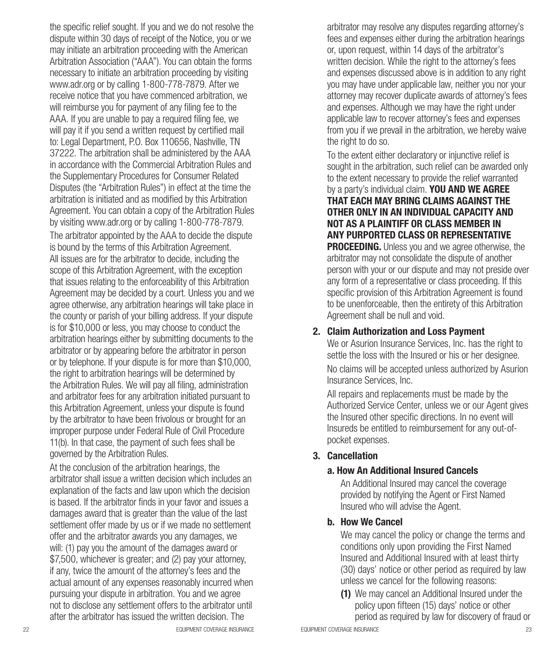the specific relief sought. If you and we do not resolve the dispute within 30 days of receipt of the Notice, you or we may initiate an arbitration proceeding with the American Arbitration Association ("AAA"). You can obtain the forms necessary to initiate an arbitration proceeding by visiting www.adr.org or by calling 1-800-778-7879. After we receive notice that you have commenced arbitration, we will reimburse you for payment of any filing fee to the AAA. If you are unable to pay a required filing fee, we will pay it if you send a written request by certified mail to: Legal Department, P.O. Box 110656, Nashville, TN 37222. The arbitration shall be administered by the AAA in accordance with the Commercial Arbitration Rules and the Supplementary Procedures for Consumer Related Disputes (the "Arbitration Rules") in effect at the time the arbitration is initiated and as modified by this Arbitration Agreement. You can obtain a copy of the Arbitration Rules by visiting www.adr.org or by calling 1-800-778-7879.

The arbitrator appointed by the AAA to decide the dispute is bound by the terms of this Arbitration Agreement. All issues are for the arbitrator to decide, including the scope of this Arbitration Agreement, with the exception that issues relating to the enforceability of this Arbitration Agreement may be decided by a court. Unless you and we agree otherwise, any arbitration hearings will take place in the county or parish of your billing address. If your dispute is for \$10,000 or less, you may choose to conduct the arbitration hearings either by submitting documents to the arbitrator or by appearing before the arbitrator in person or by telephone. If your dispute is for more than \$10,000, the right to arbitration hearings will be determined by the Arbitration Rules. We will pay all filing, administration and arbitrator fees for any arbitration initiated pursuant to this Arbitration Agreement, unless your dispute is found by the arbitrator to have been frivolous or brought for an improper purpose under Federal Rule of Civil Procedure 11(b). In that case, the payment of such fees shall be governed by the Arbitration Rules.

At the conclusion of the arbitration hearings, the arbitrator shall issue a written decision which includes an explanation of the facts and law upon which the decision is based. If the arbitrator finds in your favor and issues a damages award that is greater than the value of the last settlement offer made by us or if we made no settlement offer and the arbitrator awards you any damages, we will: (1) pay you the amount of the damages award or \$7,500, whichever is greater; and (2) pay your attorney, if any, twice the amount of the attorney's fees and the actual amount of any expenses reasonably incurred when pursuing your dispute in arbitration. You and we agree not to disclose any settlement offers to the arbitrator until after the arbitrator has issued the written decision. The

arbitrator may resolve any disputes regarding attorney's fees and expenses either during the arbitration hearings or, upon request, within 14 days of the arbitrator's written decision. While the right to the attorney's fees and expenses discussed above is in addition to any right you may have under applicable law, neither you nor your attorney may recover duplicate awards of attorney's fees and expenses. Although we may have the right under applicable law to recover attorney's fees and expenses from you if we prevail in the arbitration, we hereby waive the right to do so.

To the extent either declaratory or injunctive relief is sought in the arbitration, such relief can be awarded only to the extent necessary to provide the relief warranted by a party's individual claim. YOU AND WE AGREE THAT EACH MAY BRING CLAIMS AGAINST THE OTHER ONLY IN AN INDIVIDUAL CAPACITY AND NOT AS A PLAINTIFF OR CLASS MEMBER IN ANY PURPORTED CLASS OR REPRESENTATIVE **PROCEEDING.** Unless you and we agree otherwise, the arbitrator may not consolidate the dispute of another person with your or our dispute and may not preside over any form of a representative or class proceeding. If this specific provision of this Arbitration Agreement is found to be unenforceable, then the entirety of this Arbitration Agreement shall be null and void.

#### 2. Claim Authorization and Loss Payment

We or Asurion Insurance Services, Inc. has the right to settle the loss with the Insured or his or her designee.

No claims will be accepted unless authorized by Asurion Insurance Services, Inc.

All repairs and replacements must be made by the Authorized Service Center, unless we or our Agent gives the Insured other specific directions. In no event will Insureds be entitled to reimbursement for any out-ofpocket expenses.

#### 3. Cancellation

#### a. How An Additional Insured Cancels

An Additional Insured may cancel the coverage provided by notifying the Agent or First Named Insured who will advise the Agent.

#### b. How We Cancel

We may cancel the policy or change the terms and conditions only upon providing the First Named Insured and Additional Insured with at least thirty (30) days' notice or other period as required by law unless we cancel for the following reasons:

(1) We may cancel an Additional Insured under the policy upon fifteen (15) days' notice or other period as required by law for discovery of fraud or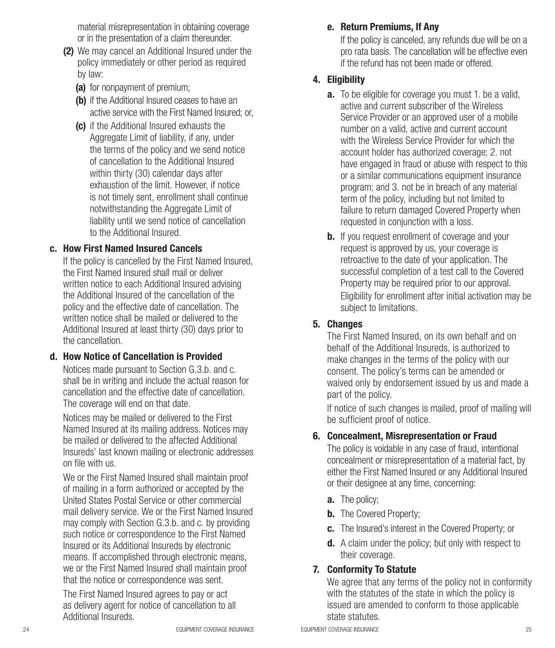material misrepresentation in obtaining coverage or in the presentation of a claim thereunder.

- (2) We may cancel an Additional Insured under the policy immediately or other period as required by law:
	- (a) for nonpayment of premium;
	- (b) if the Additional Insured ceases to have an active service with the First Named Insured; or
	- (c) if the Additional Insured exhausts the Aggregate Limit of liability, if any, under the terms of the policy and we send notice of cancellation to the Additional Insured within thirty (30) calendar days after exhaustion of the limit. However, if notice is not timely sent, enrollment shall continue notwithstanding the Aggregate Limit of liability until we send notice of cancellation to the Additional Insured.

#### c. How First Named Insured Cancels

If the policy is cancelled by the First Named Insured, the First Named Insured shall mail or deliver written notice to each Additional Insured advising the Additional Insured of the cancellation of the policy and the effective date of cancellation. The written notice shall be mailed or delivered to the Additional Insured at least thirty (30) days prior to the cancellation.

#### d. How Notice of Cancellation is Provided

Notices made pursuant to Section G.3.b. and c. shall be in writing and include the actual reason for cancellation and the effective date of cancellation. The coverage will end on that date.

Notices may be mailed or delivered to the First Named Insured at its mailing address. Notices may be mailed or delivered to the affected Additional Insureds' last known mailing or electronic addresses on file with us.

We or the First Named Insured shall maintain proof of mailing in a form authorized or accepted by the United States Postal Service or other commercial mail delivery service. We or the First Named Insured may comply with Section G.3.b. and c. by providing such notice or correspondence to the First Named Insured or its Additional Insureds by electronic means. If accomplished through electronic means, we or the First Named Insured shall maintain proof that the notice or correspondence was sent.

The First Named Insured agrees to pay or act as delivery agent for notice of cancellation to all Additional Insureds.

#### e. Return Premiums, If Any

If the policy is canceled, any refunds due will be on a pro rata basis. The cancellation will be effective even if the refund has not been made or offered.

#### 4. Eligibility

- **a.** To be eligible for coverage you must 1. be a valid, active and current subscriber of the Wireless Service Provider or an approved user of a mobile number on a valid, active and current account with the Wireless Service Provider for which the account holder has authorized coverage; 2. not have engaged in fraud or abuse with respect to this or a similar communications equipment insurance program; and 3. not be in breach of any material term of the policy, including but not limited to failure to return damaged Covered Property when requested in conjunction with a loss.
- **b.** If you request enrollment of coverage and your request is approved by us, your coverage is retroactive to the date of your application. The successful completion of a test call to the Covered Property may be required prior to our approval. Eligibility for enrollment after initial activation may be subject to limitations.

#### 5. Changes

The First Named Insured, on its own behalf and on behalf of the Additional Insureds, is authorized to make changes in the terms of the policy with our consent. The policy's terms can be amended or waived only by endorsement issued by us and made a part of the policy.

If notice of such changes is mailed, proof of mailing will be sufficient proof of notice.

#### 6. Concealment, Misrepresentation or Fraud

The policy is voidable in any case of fraud, intentional concealment or misrepresentation of a material fact, by either the First Named Insured or any Additional Insured or their designee at any time, concerning:

- a. The policy;
- **b.** The Covered Property;
- c. The Insured's interest in the Covered Property; or
- **d.** A claim under the policy; but only with respect to their coverage.

#### 7. Conformity To Statute

We agree that any terms of the policy not in conformity with the statutes of the state in which the policy is issued are amended to conform to those applicable state statutes.

24 **EQUIPMENT COVERAGE INSURANCE EQUIPMENT COVERAGE INSURANCE EQUIPMENT COVERAGE INSURANCE**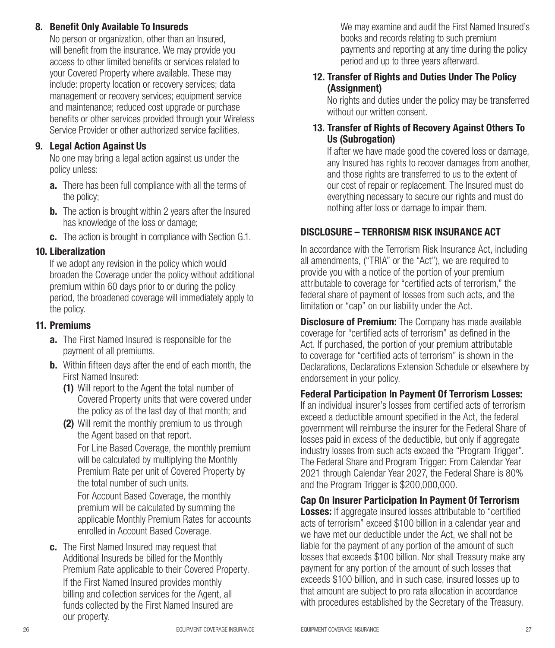#### 8. Benefit Only Available To Insureds

No person or organization, other than an Insured, will benefit from the insurance. We may provide you access to other limited benefits or services related to your Covered Property where available. These may include: property location or recovery services; data management or recovery services; equipment service and maintenance; reduced cost upgrade or purchase benefits or other services provided through your Wireless Service Provider or other authorized service facilities.

#### 9. Legal Action Against Us

No one may bring a legal action against us under the policy unless:

- **a.** There has been full compliance with all the terms of the policy;
- **b.** The action is brought within 2 years after the Insured has knowledge of the loss or damage;
- c. The action is brought in compliance with Section G.1.

#### 10. Liberalization

If we adopt any revision in the policy which would broaden the Coverage under the policy without additional premium within 60 days prior to or during the policy period, the broadened coverage will immediately apply to the policy.

#### 11. Premiums

- **a.** The First Named Insured is responsible for the payment of all premiums.
- **b.** Within fifteen days after the end of each month, the First Named Insured:
	- (1) Will report to the Agent the total number of Covered Property units that were covered under the policy as of the last day of that month; and
	- (2) Will remit the monthly premium to us through the Agent based on that report.

For Line Based Coverage, the monthly premium will be calculated by multiplying the Monthly Premium Rate per unit of Covered Property by the total number of such units.

For Account Based Coverage, the monthly premium will be calculated by summing the applicable Monthly Premium Rates for accounts enrolled in Account Based Coverage.

c. The First Named Insured may request that Additional Insureds be billed for the Monthly Premium Rate applicable to their Covered Property. If the First Named Insured provides monthly billing and collection services for the Agent, all funds collected by the First Named Insured are our property.

We may examine and audit the First Named Insured's books and records relating to such premium payments and reporting at any time during the policy period and up to three years afterward.

#### 12. Transfer of Rights and Duties Under The Policy (Assignment)

No rights and duties under the policy may be transferred without our written consent.

#### 13. Transfer of Rights of Recovery Against Others To Us (Subrogation)

If after we have made good the covered loss or damage, any Insured has rights to recover damages from another, and those rights are transferred to us to the extent of our cost of repair or replacement. The Insured must do everything necessary to secure our rights and must do nothing after loss or damage to impair them.

#### DISCLOSURE – TERRORISM RISK INSURANCE ACT

In accordance with the Terrorism Risk Insurance Act, including all amendments, ("TRIA" or the "Act"), we are required to provide you with a notice of the portion of your premium attributable to coverage for "certified acts of terrorism," the federal share of payment of losses from such acts, and the limitation or "cap" on our liability under the Act.

**Disclosure of Premium:** The Company has made available coverage for "certified acts of terrorism" as defined in the Act. If purchased, the portion of your premium attributable to coverage for "certified acts of terrorism" is shown in the Declarations, Declarations Extension Schedule or elsewhere by endorsement in your policy.

Federal Participation In Payment Of Terrorism Losses: If an individual insurer's losses from certified acts of terrorism exceed a deductible amount specified in the Act, the federal government will reimburse the insurer for the Federal Share of losses paid in excess of the deductible, but only if aggregate industry losses from such acts exceed the "Program Trigger". The Federal Share and Program Trigger: From Calendar Year 2021 through Calendar Year 2027, the Federal Share is 80% and the Program Trigger is \$200,000,000.

Cap On Insurer Participation In Payment Of Terrorism **Losses:** If aggregate insured losses attributable to "certified" acts of terrorism" exceed \$100 billion in a calendar year and we have met our deductible under the Act, we shall not be liable for the payment of any portion of the amount of such losses that exceeds \$100 billion. Nor shall Treasury make any payment for any portion of the amount of such losses that exceeds \$100 billion, and in such case, insured losses up to that amount are subject to pro rata allocation in accordance with procedures established by the Secretary of the Treasury.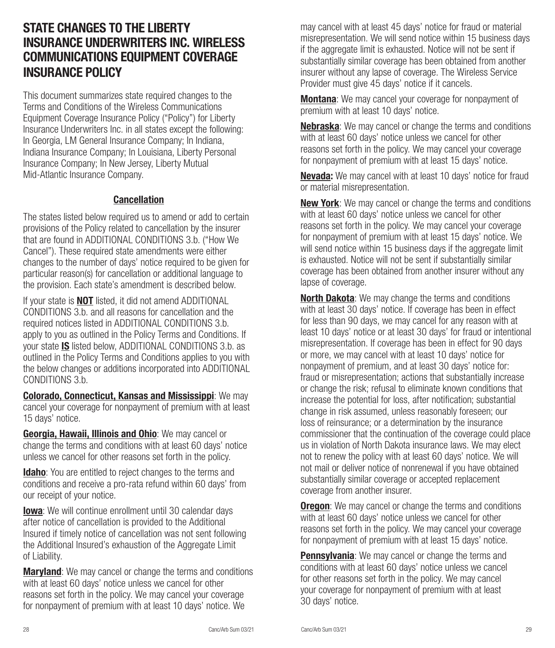# STATE CHANGES TO THE LIBERTY INSURANCE UNDERWRITERS INC. WIRELESS COMMUNICATIONS EQUIPMENT COVERAGE INSURANCE POLICY

This document summarizes state required changes to the Terms and Conditions of the Wireless Communications Equipment Coverage Insurance Policy ("Policy") for Liberty Insurance Underwriters Inc. in all states except the following: In Georgia, LM General Insurance Company; In Indiana, Indiana Insurance Company; In Louisiana, Liberty Personal Insurance Company; In New Jersey, Liberty Mutual Mid-Atlantic Insurance Company.

#### Cancellation

The states listed below required us to amend or add to certain provisions of the Policy related to cancellation by the insurer that are found in ADDITIONAL CONDITIONS 3.b. ("How We Cancel"). These required state amendments were either changes to the number of days' notice required to be given for particular reason(s) for cancellation or additional language to the provision. Each state's amendment is described below.

If your state is **NOT** listed, it did not amend ADDITIONAL CONDITIONS 3.b. and all reasons for cancellation and the required notices listed in ADDITIONAL CONDITIONS 3.b. apply to you as outlined in the Policy Terms and Conditions. If your state IS listed below, ADDITIONAL CONDITIONS 3.b. as outlined in the Policy Terms and Conditions applies to you with the below changes or additions incorporated into ADDITIONAL CONDITIONS 3.b.

Colorado, Connecticut, Kansas and Mississippi: We may cancel your coverage for nonpayment of premium with at least 15 days' notice.

Georgia, Hawaii, Illinois and Ohio: We may cancel or change the terms and conditions with at least 60 days' notice unless we cancel for other reasons set forth in the policy.

Idaho: You are entitled to reject changes to the terms and conditions and receive a pro-rata refund within 60 days' from our receipt of your notice.

**Iowa**: We will continue enrollment until 30 calendar days after notice of cancellation is provided to the Additional Insured if timely notice of cancellation was not sent following the Additional Insured's exhaustion of the Aggregate Limit of Liability.

**Maryland:** We may cancel or change the terms and conditions with at least 60 days' notice unless we cancel for other reasons set forth in the policy. We may cancel your coverage for nonpayment of premium with at least 10 days' notice. We

may cancel with at least 45 days' notice for fraud or material misrepresentation. We will send notice within 15 business days if the aggregate limit is exhausted. Notice will not be sent if substantially similar coverage has been obtained from another insurer without any lapse of coverage. The Wireless Service Provider must give 45 days' notice if it cancels.

**Montana**: We may cancel your coverage for nonpayment of premium with at least 10 days' notice.

Nebraska: We may cancel or change the terms and conditions with at least 60 days' notice unless we cancel for other reasons set forth in the policy. We may cancel your coverage for nonpayment of premium with at least 15 days' notice.

**Nevada:** We may cancel with at least 10 days' notice for fraud or material misrepresentation.

**New York:** We may cancel or change the terms and conditions with at least 60 days' notice unless we cancel for other reasons set forth in the policy. We may cancel your coverage for nonpayment of premium with at least 15 days' notice. We will send notice within 15 business days if the aggregate limit is exhausted. Notice will not be sent if substantially similar coverage has been obtained from another insurer without any lapse of coverage.

North Dakota: We may change the terms and conditions with at least 30 days' notice. If coverage has been in effect for less than 90 days, we may cancel for any reason with at least 10 days' notice or at least 30 days' for fraud or intentional misrepresentation. If coverage has been in effect for 90 days or more, we may cancel with at least 10 days' notice for nonpayment of premium, and at least 30 days' notice for: fraud or misrepresentation; actions that substantially increase or change the risk; refusal to eliminate known conditions that increase the potential for loss, after notification; substantial change in risk assumed, unless reasonably foreseen; our loss of reinsurance; or a determination by the insurance commissioner that the continuation of the coverage could place us in violation of North Dakota insurance laws. We may elect not to renew the policy with at least 60 days' notice. We will not mail or deliver notice of nonrenewal if you have obtained substantially similar coverage or accepted replacement coverage from another insurer.

**Oregon:** We may cancel or change the terms and conditions with at least 60 days' notice unless we cancel for other reasons set forth in the policy. We may cancel your coverage for nonpayment of premium with at least 15 days' notice.

**Pennsylvania:** We may cancel or change the terms and conditions with at least 60 days' notice unless we cancel for other reasons set forth in the policy. We may cancel your coverage for nonpayment of premium with at least 30 days' notice.